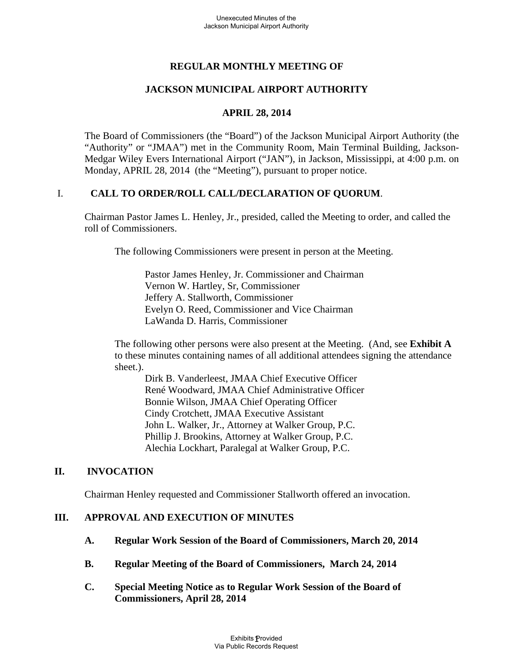# **REGULAR MONTHLY MEETING OF**

# **JACKSON MUNICIPAL AIRPORT AUTHORITY**

### **APRIL 28, 2014**

The Board of Commissioners (the "Board") of the Jackson Municipal Airport Authority (the "Authority" or "JMAA") met in the Community Room, Main Terminal Building, Jackson-Medgar Wiley Evers International Airport ("JAN"), in Jackson, Mississippi, at 4:00 p.m. on Monday, APRIL 28, 2014 (the "Meeting"), pursuant to proper notice.

### I. **CALL TO ORDER/ROLL CALL/DECLARATION OF QUORUM**.

Chairman Pastor James L. Henley, Jr., presided, called the Meeting to order, and called the roll of Commissioners.

The following Commissioners were present in person at the Meeting.

Pastor James Henley, Jr. Commissioner and Chairman Vernon W. Hartley, Sr, Commissioner Jeffery A. Stallworth, Commissioner Evelyn O. Reed, Commissioner and Vice Chairman LaWanda D. Harris, Commissioner

 The following other persons were also present at the Meeting. (And, see **Exhibit A**  to these minutes containing names of all additional attendees signing the attendance sheet.).

Dirk B. Vanderleest, JMAA Chief Executive Officer René Woodward, JMAA Chief Administrative Officer Bonnie Wilson, JMAA Chief Operating Officer Cindy Crotchett, JMAA Executive Assistant John L. Walker, Jr., Attorney at Walker Group, P.C. Phillip J. Brookins, Attorney at Walker Group, P.C. Alechia Lockhart, Paralegal at Walker Group, P.C.

### **II. INVOCATION**

Chairman Henley requested and Commissioner Stallworth offered an invocation.

### **III. APPROVAL AND EXECUTION OF MINUTES**

- **A. Regular Work Session of the Board of Commissioners, March 20, 2014**
- **B. Regular Meeting of the Board of Commissioners, March 24, 2014**
- **C. Special Meeting Notice as to Regular Work Session of the Board of Commissioners, April 28, 2014**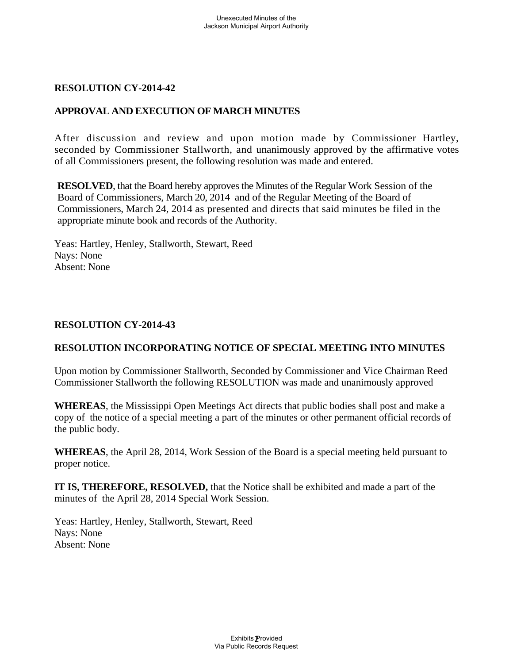#### **APPROVAL AND EXECUTION OF MARCH MINUTES**

After discussion and review and upon motion made by Commissioner Hartley, seconded by Commissioner Stallworth, and unanimously approved by the affirmative votes of all Commissioners present, the following resolution was made and entered.

**RESOLVED**, that the Board hereby approves the Minutes of the Regular Work Session of the Board of Commissioners, March 20, 2014 and of the Regular Meeting of the Board of Commissioners, March 24, 2014 as presented and directs that said minutes be filed in the appropriate minute book and records of the Authority.

Yeas: Hartley, Henley, Stallworth, Stewart, Reed Nays: None Absent: None

#### **RESOLUTION CY-2014-43**

### **RESOLUTION INCORPORATING NOTICE OF SPECIAL MEETING INTO MINUTES**

Upon motion by Commissioner Stallworth, Seconded by Commissioner and Vice Chairman Reed Commissioner Stallworth the following RESOLUTION was made and unanimously approved

**WHEREAS**, the Mississippi Open Meetings Act directs that public bodies shall post and make a copy of the notice of a special meeting a part of the minutes or other permanent official records of the public body.

**WHEREAS**, the April 28, 2014, Work Session of the Board is a special meeting held pursuant to proper notice.

**IT IS, THEREFORE, RESOLVED,** that the Notice shall be exhibited and made a part of the minutes of the April 28, 2014 Special Work Session.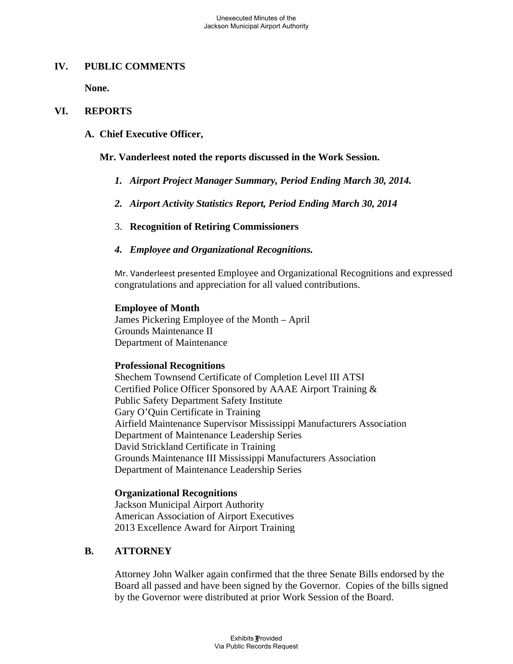#### **IV. PUBLIC COMMENTS**

**None.** 

#### **VI. REPORTS**

#### **A. Chief Executive Officer,**

**Mr. Vanderleest noted the reports discussed in the Work Session.** 

- *1. Airport Project Manager Summary, Period Ending March 30, 2014.*
- *2. Airport Activity Statistics Report, Period Ending March 30, 2014*
- 3. **Recognition of Retiring Commissioners**
- *4. Employee and Organizational Recognitions.*

Mr. Vanderleest presented Employee and Organizational Recognitions and expressed congratulations and appreciation for all valued contributions.

#### **Employee of Month**

James Pickering Employee of the Month – April Grounds Maintenance II Department of Maintenance

### **Professional Recognitions**

Shechem Townsend Certificate of Completion Level III ATSI Certified Police Officer Sponsored by AAAE Airport Training & Public Safety Department Safety Institute Gary O'Quin Certificate in Training Airfield Maintenance Supervisor Mississippi Manufacturers Association Department of Maintenance Leadership Series David Strickland Certificate in Training Grounds Maintenance III Mississippi Manufacturers Association Department of Maintenance Leadership Series

### **Organizational Recognitions**

Jackson Municipal Airport Authority American Association of Airport Executives 2013 Excellence Award for Airport Training

### **B. ATTORNEY**

Attorney John Walker again confirmed that the three Senate Bills endorsed by the Board all passed and have been signed by the Governor. Copies of the bills signed by the Governor were distributed at prior Work Session of the Board.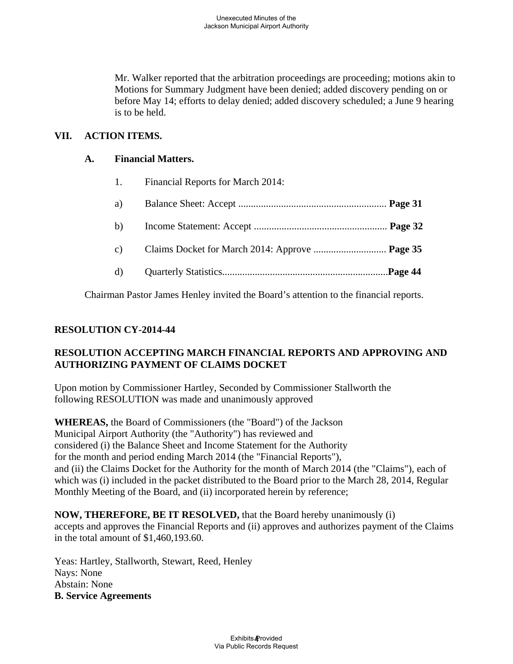Mr. Walker reported that the arbitration proceedings are proceeding; motions akin to Motions for Summary Judgment have been denied; added discovery pending on or before May 14; efforts to delay denied; added discovery scheduled; a June 9 hearing is to be held.

# **VII. ACTION ITEMS.**

#### **A. Financial Matters.**

|              | Financial Reports for March 2014: |  |
|--------------|-----------------------------------|--|
| a)           |                                   |  |
| b)           |                                   |  |
| $\mathbf{c}$ |                                   |  |
| d)           |                                   |  |

Chairman Pastor James Henley invited the Board's attention to the financial reports.

### **RESOLUTION CY-2014-44**

### **RESOLUTION ACCEPTING MARCH FINANCIAL REPORTS AND APPROVING AND AUTHORIZING PAYMENT OF CLAIMS DOCKET**

Upon motion by Commissioner Hartley, Seconded by Commissioner Stallworth the following RESOLUTION was made and unanimously approved

**WHEREAS,** the Board of Commissioners (the "Board") of the Jackson Municipal Airport Authority (the "Authority") has reviewed and considered (i) the Balance Sheet and Income Statement for the Authority for the month and period ending March 2014 (the "Financial Reports"), and (ii) the Claims Docket for the Authority for the month of March 2014 (the "Claims"), each of which was (i) included in the packet distributed to the Board prior to the March 28, 2014, Regular Monthly Meeting of the Board, and (ii) incorporated herein by reference;

### **NOW, THEREFORE, BE IT RESOLVED,** that the Board hereby unanimously (i)

accepts and approves the Financial Reports and (ii) approves and authorizes payment of the Claims in the total amount of \$1,460,193.60.

Yeas: Hartley, Stallworth, Stewart, Reed, Henley Nays: None Abstain: None **B. Service Agreements**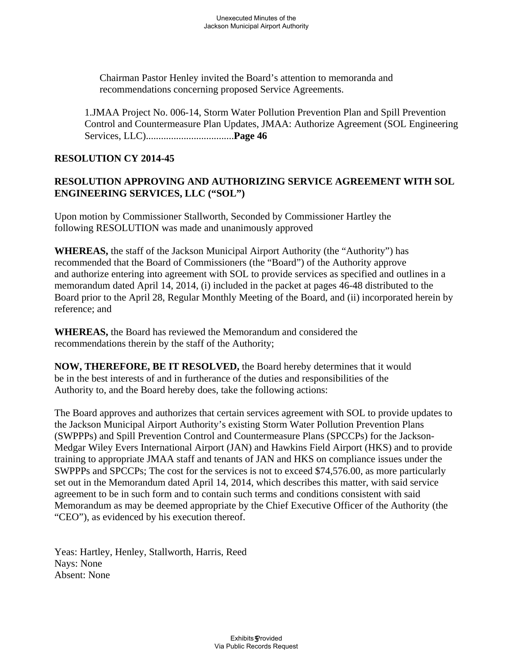Chairman Pastor Henley invited the Board's attention to memoranda and recommendations concerning proposed Service Agreements.

1.JMAA Project No. 006-14, Storm Water Pollution Prevention Plan and Spill Prevention Control and Countermeasure Plan Updates, JMAA: Authorize Agreement (SOL Engineering Services, LLC)...................................**Page 46** 

#### **RESOLUTION CY 2014-45**

### **RESOLUTION APPROVING AND AUTHORIZING SERVICE AGREEMENT WITH SOL ENGINEERING SERVICES, LLC ("SOL")**

Upon motion by Commissioner Stallworth, Seconded by Commissioner Hartley the following RESOLUTION was made and unanimously approved

**WHEREAS,** the staff of the Jackson Municipal Airport Authority (the "Authority") has recommended that the Board of Commissioners (the "Board") of the Authority approve and authorize entering into agreement with SOL to provide services as specified and outlines in a memorandum dated April 14, 2014, (i) included in the packet at pages 46-48 distributed to the Board prior to the April 28, Regular Monthly Meeting of the Board, and (ii) incorporated herein by reference; and

**WHEREAS,** the Board has reviewed the Memorandum and considered the recommendations therein by the staff of the Authority;

**NOW, THEREFORE, BE IT RESOLVED,** the Board hereby determines that it would be in the best interests of and in furtherance of the duties and responsibilities of the Authority to, and the Board hereby does, take the following actions:

The Board approves and authorizes that certain services agreement with SOL to provide updates to the Jackson Municipal Airport Authority's existing Storm Water Pollution Prevention Plans (SWPPPs) and Spill Prevention Control and Countermeasure Plans (SPCCPs) for the Jackson-Medgar Wiley Evers International Airport (JAN) and Hawkins Field Airport (HKS) and to provide training to appropriate JMAA staff and tenants of JAN and HKS on compliance issues under the SWPPPs and SPCCPs; The cost for the services is not to exceed \$74,576.00, as more particularly set out in the Memorandum dated April 14, 2014, which describes this matter, with said service agreement to be in such form and to contain such terms and conditions consistent with said Memorandum as may be deemed appropriate by the Chief Executive Officer of the Authority (the "CEO"), as evidenced by his execution thereof.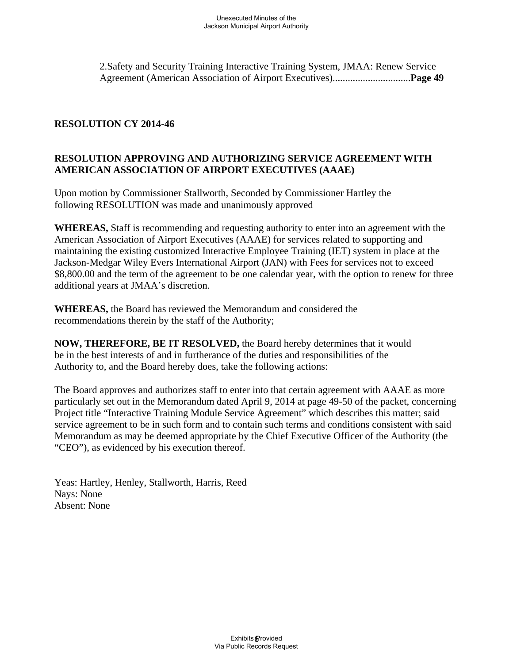2.Safety and Security Training Interactive Training System, JMAA: Renew Service Agreement (American Association of Airport Executives)...............................**Page 49** 

#### **RESOLUTION CY 2014-46**

## **RESOLUTION APPROVING AND AUTHORIZING SERVICE AGREEMENT WITH AMERICAN ASSOCIATION OF AIRPORT EXECUTIVES (AAAE)**

Upon motion by Commissioner Stallworth, Seconded by Commissioner Hartley the following RESOLUTION was made and unanimously approved

**WHEREAS,** Staff is recommending and requesting authority to enter into an agreement with the American Association of Airport Executives (AAAE) for services related to supporting and maintaining the existing customized Interactive Employee Training (IET) system in place at the Jackson-Medgar Wiley Evers International Airport (JAN) with Fees for services not to exceed \$8,800.00 and the term of the agreement to be one calendar year, with the option to renew for three additional years at JMAA's discretion.

**WHEREAS,** the Board has reviewed the Memorandum and considered the recommendations therein by the staff of the Authority;

**NOW, THEREFORE, BE IT RESOLVED,** the Board hereby determines that it would be in the best interests of and in furtherance of the duties and responsibilities of the Authority to, and the Board hereby does, take the following actions:

The Board approves and authorizes staff to enter into that certain agreement with AAAE as more particularly set out in the Memorandum dated April 9, 2014 at page 49-50 of the packet, concerning Project title "Interactive Training Module Service Agreement" which describes this matter; said service agreement to be in such form and to contain such terms and conditions consistent with said Memorandum as may be deemed appropriate by the Chief Executive Officer of the Authority (the "CEO"), as evidenced by his execution thereof.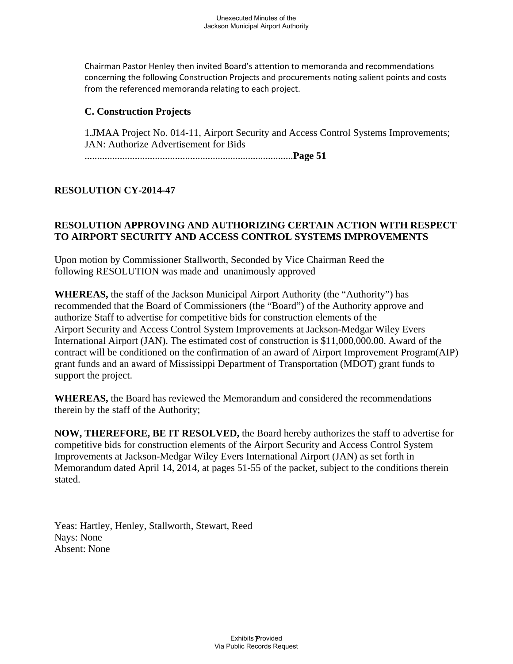Chairman Pastor Henley then invited Board's attention to memoranda and recommendations concerning the following Construction Projects and procurements noting salient points and costs from the referenced memoranda relating to each project.

### **C. Construction Projects**

1.JMAA Project No. 014-11, Airport Security and Access Control Systems Improvements; JAN: Authorize Advertisement for Bids

...................................................................................**Page 51** 

### **RESOLUTION CY-2014-47**

### **RESOLUTION APPROVING AND AUTHORIZING CERTAIN ACTION WITH RESPECT TO AIRPORT SECURITY AND ACCESS CONTROL SYSTEMS IMPROVEMENTS**

Upon motion by Commissioner Stallworth, Seconded by Vice Chairman Reed the following RESOLUTION was made and unanimously approved

**WHEREAS,** the staff of the Jackson Municipal Airport Authority (the "Authority") has recommended that the Board of Commissioners (the "Board") of the Authority approve and authorize Staff to advertise for competitive bids for construction elements of the Airport Security and Access Control System Improvements at Jackson-Medgar Wiley Evers International Airport (JAN). The estimated cost of construction is \$11,000,000.00. Award of the contract will be conditioned on the confirmation of an award of Airport Improvement Program(AIP) grant funds and an award of Mississippi Department of Transportation (MDOT) grant funds to support the project.

**WHEREAS,** the Board has reviewed the Memorandum and considered the recommendations therein by the staff of the Authority;

**NOW, THEREFORE, BE IT RESOLVED,** the Board hereby authorizes the staff to advertise for competitive bids for construction elements of the Airport Security and Access Control System Improvements at Jackson-Medgar Wiley Evers International Airport (JAN) as set forth in Memorandum dated April 14, 2014, at pages 51-55 of the packet, subject to the conditions therein stated.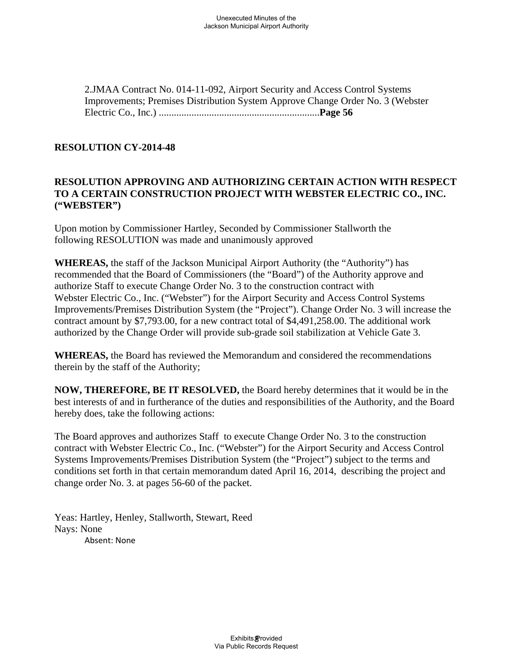2.JMAA Contract No. 014-11-092, Airport Security and Access Control Systems Improvements; Premises Distribution System Approve Change Order No. 3 (Webster Electric Co., Inc.) ................................................................**Page 56** 

### **RESOLUTION CY-2014-48**

### **RESOLUTION APPROVING AND AUTHORIZING CERTAIN ACTION WITH RESPECT TO A CERTAIN CONSTRUCTION PROJECT WITH WEBSTER ELECTRIC CO., INC. ("WEBSTER")**

Upon motion by Commissioner Hartley, Seconded by Commissioner Stallworth the following RESOLUTION was made and unanimously approved

**WHEREAS,** the staff of the Jackson Municipal Airport Authority (the "Authority") has recommended that the Board of Commissioners (the "Board") of the Authority approve and authorize Staff to execute Change Order No. 3 to the construction contract with Webster Electric Co., Inc. ("Webster") for the Airport Security and Access Control Systems Improvements/Premises Distribution System (the "Project"). Change Order No. 3 will increase the contract amount by \$7,793.00, for a new contract total of \$4,491,258.00. The additional work authorized by the Change Order will provide sub-grade soil stabilization at Vehicle Gate 3.

**WHEREAS,** the Board has reviewed the Memorandum and considered the recommendations therein by the staff of the Authority;

**NOW, THEREFORE, BE IT RESOLVED,** the Board hereby determines that it would be in the best interests of and in furtherance of the duties and responsibilities of the Authority, and the Board hereby does, take the following actions:

The Board approves and authorizes Staff to execute Change Order No. 3 to the construction contract with Webster Electric Co., Inc. ("Webster") for the Airport Security and Access Control Systems Improvements/Premises Distribution System (the "Project") subject to the terms and conditions set forth in that certain memorandum dated April 16, 2014, describing the project and change order No. 3. at pages 56-60 of the packet.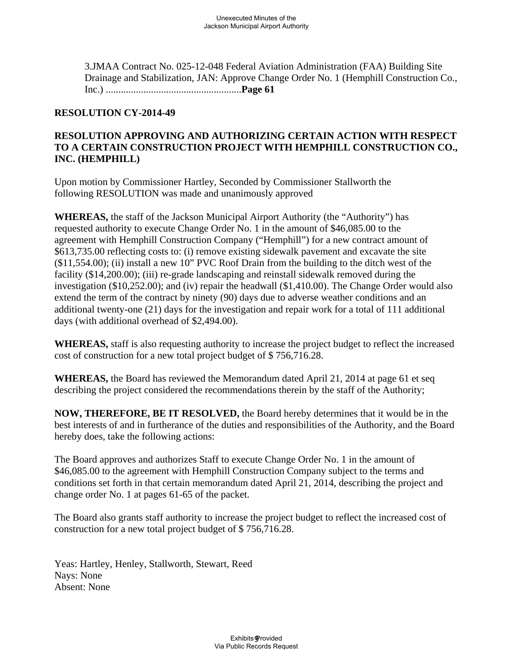3.JMAA Contract No. 025-12-048 Federal Aviation Administration (FAA) Building Site Drainage and Stabilization, JAN: Approve Change Order No. 1 (Hemphill Construction Co., Inc.) ......................................................**Page 61** 

#### **RESOLUTION CY-2014-49**

### **RESOLUTION APPROVING AND AUTHORIZING CERTAIN ACTION WITH RESPECT TO A CERTAIN CONSTRUCTION PROJECT WITH HEMPHILL CONSTRUCTION CO., INC. (HEMPHILL)**

Upon motion by Commissioner Hartley, Seconded by Commissioner Stallworth the following RESOLUTION was made and unanimously approved

**WHEREAS,** the staff of the Jackson Municipal Airport Authority (the "Authority") has requested authority to execute Change Order No. 1 in the amount of \$46,085.00 to the agreement with Hemphill Construction Company ("Hemphill") for a new contract amount of \$613,735.00 reflecting costs to: (i) remove existing sidewalk pavement and excavate the site (\$11,554.00); (ii) install a new 10" PVC Roof Drain from the building to the ditch west of the facility (\$14,200.00); (iii) re-grade landscaping and reinstall sidewalk removed during the investigation (\$10,252.00); and (iv) repair the headwall (\$1,410.00). The Change Order would also extend the term of the contract by ninety (90) days due to adverse weather conditions and an additional twenty-one (21) days for the investigation and repair work for a total of 111 additional days (with additional overhead of \$2,494.00).

**WHEREAS,** staff is also requesting authority to increase the project budget to reflect the increased cost of construction for a new total project budget of \$ 756,716.28.

**WHEREAS,** the Board has reviewed the Memorandum dated April 21, 2014 at page 61 et seq describing the project considered the recommendations therein by the staff of the Authority;

**NOW, THEREFORE, BE IT RESOLVED,** the Board hereby determines that it would be in the best interests of and in furtherance of the duties and responsibilities of the Authority, and the Board hereby does, take the following actions:

The Board approves and authorizes Staff to execute Change Order No. 1 in the amount of \$46,085.00 to the agreement with Hemphill Construction Company subject to the terms and conditions set forth in that certain memorandum dated April 21, 2014, describing the project and change order No. 1 at pages 61-65 of the packet.

The Board also grants staff authority to increase the project budget to reflect the increased cost of construction for a new total project budget of \$ 756,716.28.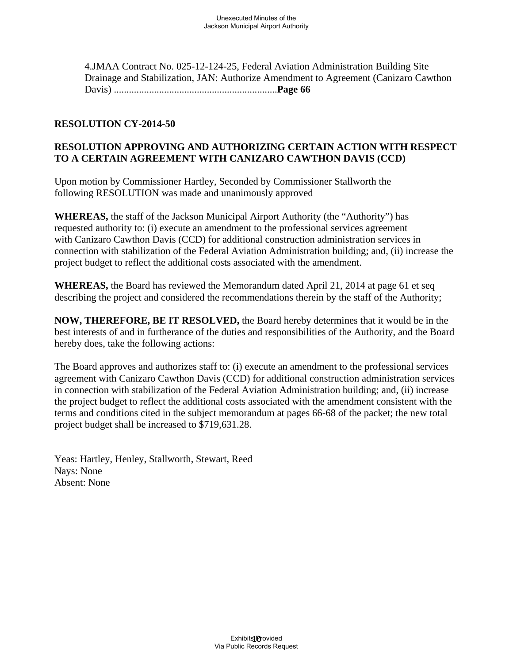4.JMAA Contract No. 025-12-124-25, Federal Aviation Administration Building Site Drainage and Stabilization, JAN: Authorize Amendment to Agreement (Canizaro Cawthon Davis) .................................................................**Page 66** 

#### **RESOLUTION CY-2014-50**

### **RESOLUTION APPROVING AND AUTHORIZING CERTAIN ACTION WITH RESPECT TO A CERTAIN AGREEMENT WITH CANIZARO CAWTHON DAVIS (CCD)**

Upon motion by Commissioner Hartley, Seconded by Commissioner Stallworth the following RESOLUTION was made and unanimously approved

**WHEREAS,** the staff of the Jackson Municipal Airport Authority (the "Authority") has requested authority to: (i) execute an amendment to the professional services agreement with Canizaro Cawthon Davis (CCD) for additional construction administration services in connection with stabilization of the Federal Aviation Administration building; and, (ii) increase the project budget to reflect the additional costs associated with the amendment.

**WHEREAS,** the Board has reviewed the Memorandum dated April 21, 2014 at page 61 et seq describing the project and considered the recommendations therein by the staff of the Authority;

**NOW, THEREFORE, BE IT RESOLVED,** the Board hereby determines that it would be in the best interests of and in furtherance of the duties and responsibilities of the Authority, and the Board hereby does, take the following actions:

The Board approves and authorizes staff to: (i) execute an amendment to the professional services agreement with Canizaro Cawthon Davis (CCD) for additional construction administration services in connection with stabilization of the Federal Aviation Administration building; and, (ii) increase the project budget to reflect the additional costs associated with the amendment consistent with the terms and conditions cited in the subject memorandum at pages 66-68 of the packet; the new total project budget shall be increased to \$719,631.28.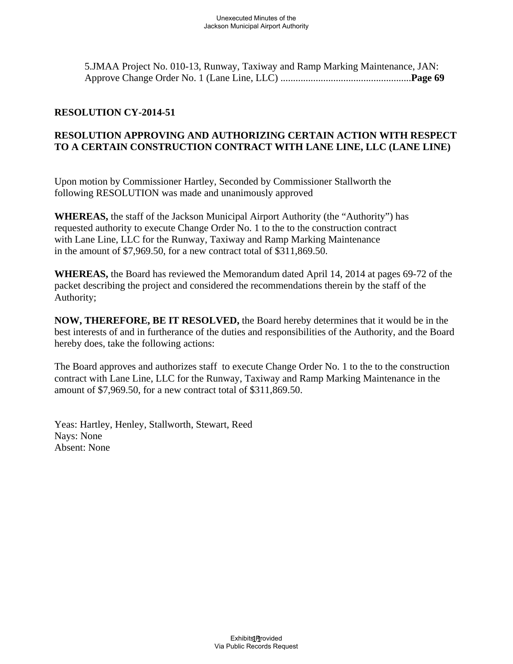5.JMAA Project No. 010-13, Runway, Taxiway and Ramp Marking Maintenance, JAN: Approve Change Order No. 1 (Lane Line, LLC) ....................................................**Page 69** 

### **RESOLUTION CY-2014-51**

### **RESOLUTION APPROVING AND AUTHORIZING CERTAIN ACTION WITH RESPECT TO A CERTAIN CONSTRUCTION CONTRACT WITH LANE LINE, LLC (LANE LINE)**

Upon motion by Commissioner Hartley, Seconded by Commissioner Stallworth the following RESOLUTION was made and unanimously approved

**WHEREAS,** the staff of the Jackson Municipal Airport Authority (the "Authority") has requested authority to execute Change Order No. 1 to the to the construction contract with Lane Line, LLC for the Runway, Taxiway and Ramp Marking Maintenance in the amount of \$7,969.50, for a new contract total of \$311,869.50.

**WHEREAS,** the Board has reviewed the Memorandum dated April 14, 2014 at pages 69-72 of the packet describing the project and considered the recommendations therein by the staff of the Authority;

**NOW, THEREFORE, BE IT RESOLVED,** the Board hereby determines that it would be in the best interests of and in furtherance of the duties and responsibilities of the Authority, and the Board hereby does, take the following actions:

The Board approves and authorizes staff to execute Change Order No. 1 to the to the construction contract with Lane Line, LLC for the Runway, Taxiway and Ramp Marking Maintenance in the amount of \$7,969.50, for a new contract total of \$311,869.50.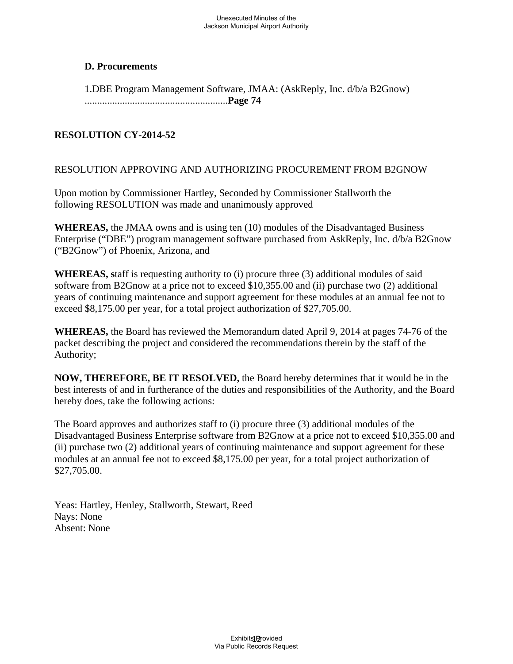### **D. Procurements**

1.DBE Program Management Software, JMAA: (AskReply, Inc. d/b/a B2Gnow) .........................................................**Page 74** 

## **RESOLUTION CY-2014-52**

### RESOLUTION APPROVING AND AUTHORIZING PROCUREMENT FROM B2GNOW

Upon motion by Commissioner Hartley, Seconded by Commissioner Stallworth the following RESOLUTION was made and unanimously approved

**WHEREAS,** the JMAA owns and is using ten (10) modules of the Disadvantaged Business Enterprise ("DBE") program management software purchased from AskReply, Inc. d/b/a B2Gnow ("B2Gnow") of Phoenix, Arizona, and

**WHEREAS, s**taff is requesting authority to (i) procure three (3) additional modules of said software from B2Gnow at a price not to exceed \$10,355.00 and (ii) purchase two (2) additional years of continuing maintenance and support agreement for these modules at an annual fee not to exceed \$8,175.00 per year, for a total project authorization of \$27,705.00.

**WHEREAS,** the Board has reviewed the Memorandum dated April 9, 2014 at pages 74-76 of the packet describing the project and considered the recommendations therein by the staff of the Authority;

**NOW, THEREFORE, BE IT RESOLVED,** the Board hereby determines that it would be in the best interests of and in furtherance of the duties and responsibilities of the Authority, and the Board hereby does, take the following actions:

The Board approves and authorizes staff to (i) procure three (3) additional modules of the Disadvantaged Business Enterprise software from B2Gnow at a price not to exceed \$10,355.00 and (ii) purchase two (2) additional years of continuing maintenance and support agreement for these modules at an annual fee not to exceed \$8,175.00 per year, for a total project authorization of \$27,705.00.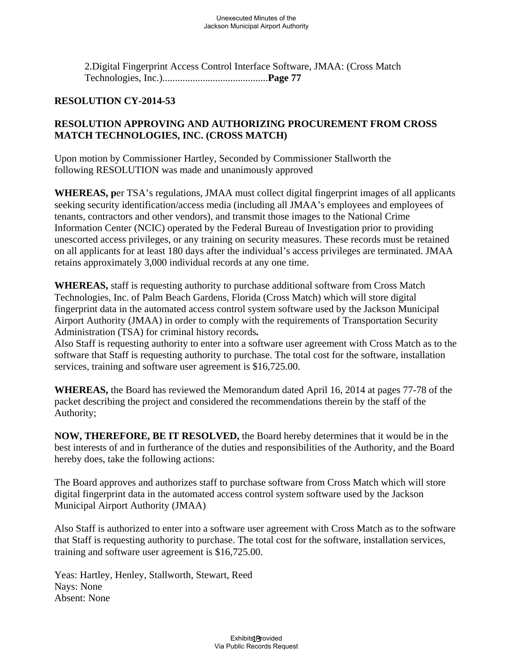2.Digital Fingerprint Access Control Interface Software, JMAA: (Cross Match Technologies, Inc.)..........................................**Page 77** 

### **RESOLUTION CY-2014-53**

# **RESOLUTION APPROVING AND AUTHORIZING PROCUREMENT FROM CROSS MATCH TECHNOLOGIES, INC. (CROSS MATCH)**

Upon motion by Commissioner Hartley, Seconded by Commissioner Stallworth the following RESOLUTION was made and unanimously approved

**WHEREAS, p**er TSA's regulations, JMAA must collect digital fingerprint images of all applicants seeking security identification/access media (including all JMAA's employees and employees of tenants, contractors and other vendors), and transmit those images to the National Crime Information Center (NCIC) operated by the Federal Bureau of Investigation prior to providing unescorted access privileges, or any training on security measures. These records must be retained on all applicants for at least 180 days after the individual's access privileges are terminated. JMAA retains approximately 3,000 individual records at any one time.

**WHEREAS,** staff is requesting authority to purchase additional software from Cross Match Technologies, Inc. of Palm Beach Gardens, Florida (Cross Match) which will store digital fingerprint data in the automated access control system software used by the Jackson Municipal Airport Authority (JMAA) in order to comply with the requirements of Transportation Security Administration (TSA) for criminal history records*.* 

Also Staff is requesting authority to enter into a software user agreement with Cross Match as to the software that Staff is requesting authority to purchase. The total cost for the software, installation services, training and software user agreement is \$16,725.00.

**WHEREAS,** the Board has reviewed the Memorandum dated April 16, 2014 at pages 77-78 of the packet describing the project and considered the recommendations therein by the staff of the Authority;

**NOW, THEREFORE, BE IT RESOLVED,** the Board hereby determines that it would be in the best interests of and in furtherance of the duties and responsibilities of the Authority, and the Board hereby does, take the following actions:

The Board approves and authorizes staff to purchase software from Cross Match which will store digital fingerprint data in the automated access control system software used by the Jackson Municipal Airport Authority (JMAA)

Also Staff is authorized to enter into a software user agreement with Cross Match as to the software that Staff is requesting authority to purchase. The total cost for the software, installation services, training and software user agreement is \$16,725.00.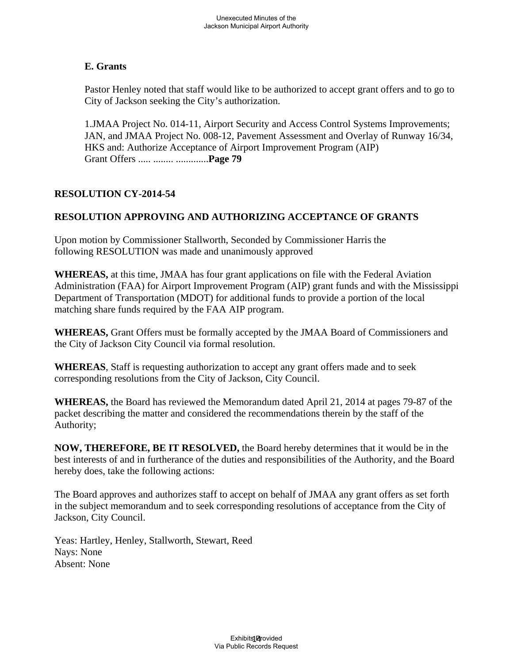### **E. Grants**

Pastor Henley noted that staff would like to be authorized to accept grant offers and to go to City of Jackson seeking the City's authorization.

1.JMAA Project No. 014-11, Airport Security and Access Control Systems Improvements; JAN, and JMAA Project No. 008-12, Pavement Assessment and Overlay of Runway 16/34, HKS and: Authorize Acceptance of Airport Improvement Program (AIP) Grant Offers ..... ........ .............**Page 79** 

### **RESOLUTION CY-2014-54**

### **RESOLUTION APPROVING AND AUTHORIZING ACCEPTANCE OF GRANTS**

Upon motion by Commissioner Stallworth, Seconded by Commissioner Harris the following RESOLUTION was made and unanimously approved

**WHEREAS,** at this time, JMAA has four grant applications on file with the Federal Aviation Administration (FAA) for Airport Improvement Program (AIP) grant funds and with the Mississippi Department of Transportation (MDOT) for additional funds to provide a portion of the local matching share funds required by the FAA AIP program.

**WHEREAS,** Grant Offers must be formally accepted by the JMAA Board of Commissioners and the City of Jackson City Council via formal resolution.

**WHEREAS**, Staff is requesting authorization to accept any grant offers made and to seek corresponding resolutions from the City of Jackson, City Council.

**WHEREAS,** the Board has reviewed the Memorandum dated April 21, 2014 at pages 79-87 of the packet describing the matter and considered the recommendations therein by the staff of the Authority;

**NOW, THEREFORE, BE IT RESOLVED,** the Board hereby determines that it would be in the best interests of and in furtherance of the duties and responsibilities of the Authority, and the Board hereby does, take the following actions:

The Board approves and authorizes staff to accept on behalf of JMAA any grant offers as set forth in the subject memorandum and to seek corresponding resolutions of acceptance from the City of Jackson, City Council.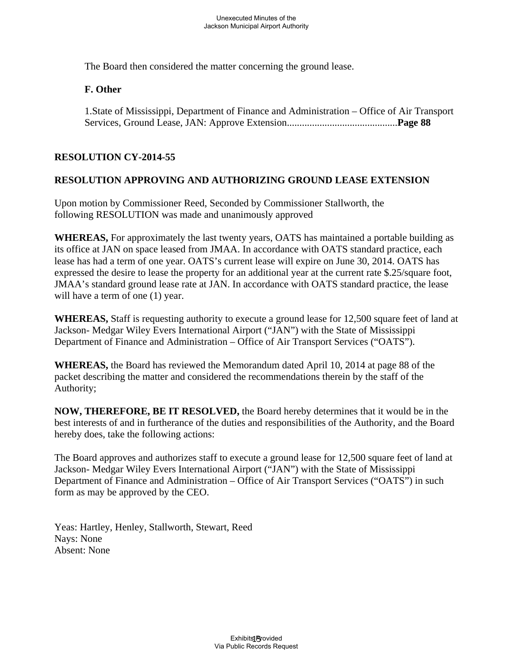The Board then considered the matter concerning the ground lease.

### **F. Other**

1.State of Mississippi, Department of Finance and Administration – Office of Air Transport Services, Ground Lease, JAN: Approve Extension............................................**Page 88** 

### **RESOLUTION CY-2014-55**

### **RESOLUTION APPROVING AND AUTHORIZING GROUND LEASE EXTENSION**

Upon motion by Commissioner Reed, Seconded by Commissioner Stallworth, the following RESOLUTION was made and unanimously approved

**WHEREAS,** For approximately the last twenty years, OATS has maintained a portable building as its office at JAN on space leased from JMAA. In accordance with OATS standard practice, each lease has had a term of one year. OATS's current lease will expire on June 30, 2014. OATS has expressed the desire to lease the property for an additional year at the current rate \$.25/square foot, JMAA's standard ground lease rate at JAN. In accordance with OATS standard practice, the lease will have a term of one  $(1)$  year.

**WHEREAS,** Staff is requesting authority to execute a ground lease for 12,500 square feet of land at Jackson- Medgar Wiley Evers International Airport ("JAN") with the State of Mississippi Department of Finance and Administration – Office of Air Transport Services ("OATS").

**WHEREAS,** the Board has reviewed the Memorandum dated April 10, 2014 at page 88 of the packet describing the matter and considered the recommendations therein by the staff of the Authority;

**NOW, THEREFORE, BE IT RESOLVED,** the Board hereby determines that it would be in the best interests of and in furtherance of the duties and responsibilities of the Authority, and the Board hereby does, take the following actions:

The Board approves and authorizes staff to execute a ground lease for 12,500 square feet of land at Jackson- Medgar Wiley Evers International Airport ("JAN") with the State of Mississippi Department of Finance and Administration – Office of Air Transport Services ("OATS") in such form as may be approved by the CEO.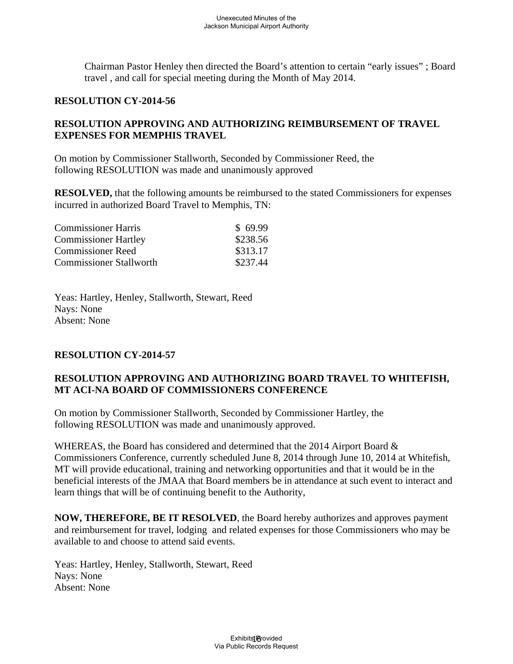Chairman Pastor Henley then directed the Board's attention to certain "early issues" ; Board travel , and call for special meeting during the Month of May 2014.

#### **RESOLUTION CY-2014-56**

### **RESOLUTION APPROVING AND AUTHORIZING REIMBURSEMENT OF TRAVEL EXPENSES FOR MEMPHIS TRAVEL**

On motion by Commissioner Stallworth, Seconded by Commissioner Reed, the following RESOLUTION was made and unanimously approved

**RESOLVED,** that the following amounts be reimbursed to the stated Commissioners for expenses incurred in authorized Board Travel to Memphis, TN:

| <b>Commissioner Harris</b>     | \$69.99  |
|--------------------------------|----------|
| <b>Commissioner Hartley</b>    | \$238.56 |
| <b>Commissioner Reed</b>       | \$313.17 |
| <b>Commissioner Stallworth</b> | \$237.44 |

Yeas: Hartley, Henley, Stallworth, Stewart, Reed Nays: None Absent: None

### **RESOLUTION CY-2014-57**

### **RESOLUTION APPROVING AND AUTHORIZING BOARD TRAVEL TO WHITEFISH, MT ACI-NA BOARD OF COMMISSIONERS CONFERENCE**

On motion by Commissioner Stallworth, Seconded by Commissioner Hartley, the following RESOLUTION was made and unanimously approved.

WHEREAS, the Board has considered and determined that the 2014 Airport Board & Commissioners Conference, currently scheduled June 8, 2014 through June 10, 2014 at Whitefish, MT will provide educational, training and networking opportunities and that it would be in the beneficial interests of the JMAA that Board members be in attendance at such event to interact and learn things that will be of continuing benefit to the Authority,

**NOW, THEREFORE, BE IT RESOLVED**, the Board hereby authorizes and approves payment and reimbursement for travel, lodging and related expenses for those Commissioners who may be available to and choose to attend said events.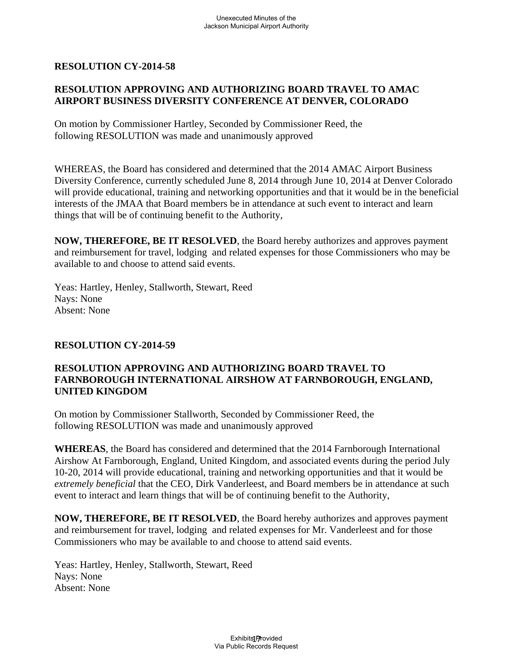### **RESOLUTION APPROVING AND AUTHORIZING BOARD TRAVEL TO AMAC AIRPORT BUSINESS DIVERSITY CONFERENCE AT DENVER, COLORADO**

On motion by Commissioner Hartley, Seconded by Commissioner Reed, the following RESOLUTION was made and unanimously approved

WHEREAS, the Board has considered and determined that the 2014 AMAC Airport Business Diversity Conference, currently scheduled June 8, 2014 through June 10, 2014 at Denver Colorado will provide educational, training and networking opportunities and that it would be in the beneficial interests of the JMAA that Board members be in attendance at such event to interact and learn things that will be of continuing benefit to the Authority,

**NOW, THEREFORE, BE IT RESOLVED**, the Board hereby authorizes and approves payment and reimbursement for travel, lodging and related expenses for those Commissioners who may be available to and choose to attend said events.

Yeas: Hartley, Henley, Stallworth, Stewart, Reed Nays: None Absent: None

### **RESOLUTION CY-2014-59**

#### **RESOLUTION APPROVING AND AUTHORIZING BOARD TRAVEL TO FARNBOROUGH INTERNATIONAL AIRSHOW AT FARNBOROUGH, ENGLAND, UNITED KINGDOM**

On motion by Commissioner Stallworth, Seconded by Commissioner Reed, the following RESOLUTION was made and unanimously approved

**WHEREAS**, the Board has considered and determined that the 2014 Farnborough International Airshow At Farnborough, England, United Kingdom, and associated events during the period July 10-20, 2014 will provide educational, training and networking opportunities and that it would be *extremely beneficial* that the CEO, Dirk Vanderleest, and Board members be in attendance at such event to interact and learn things that will be of continuing benefit to the Authority,

**NOW, THEREFORE, BE IT RESOLVED**, the Board hereby authorizes and approves payment and reimbursement for travel, lodging and related expenses for Mr. Vanderleest and for those Commissioners who may be available to and choose to attend said events.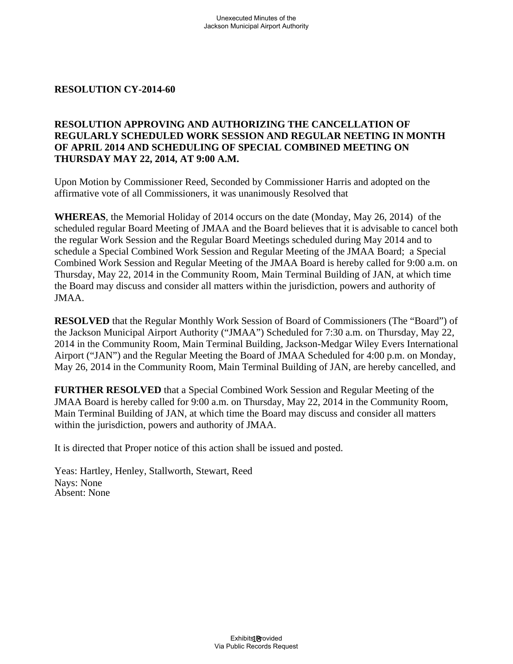### **RESOLUTION APPROVING AND AUTHORIZING THE CANCELLATION OF REGULARLY SCHEDULED WORK SESSION AND REGULAR NEETING IN MONTH OF APRIL 2014 AND SCHEDULING OF SPECIAL COMBINED MEETING ON THURSDAY MAY 22, 2014, AT 9:00 A.M.**

Upon Motion by Commissioner Reed, Seconded by Commissioner Harris and adopted on the affirmative vote of all Commissioners, it was unanimously Resolved that

**WHEREAS**, the Memorial Holiday of 2014 occurs on the date (Monday, May 26, 2014) of the scheduled regular Board Meeting of JMAA and the Board believes that it is advisable to cancel both the regular Work Session and the Regular Board Meetings scheduled during May 2014 and to schedule a Special Combined Work Session and Regular Meeting of the JMAA Board; a Special Combined Work Session and Regular Meeting of the JMAA Board is hereby called for 9:00 a.m. on Thursday, May 22, 2014 in the Community Room, Main Terminal Building of JAN, at which time the Board may discuss and consider all matters within the jurisdiction, powers and authority of JMAA.

**RESOLVED** that the Regular Monthly Work Session of Board of Commissioners (The "Board") of the Jackson Municipal Airport Authority ("JMAA") Scheduled for 7:30 a.m. on Thursday, May 22, 2014 in the Community Room, Main Terminal Building, Jackson-Medgar Wiley Evers International Airport ("JAN") and the Regular Meeting the Board of JMAA Scheduled for 4:00 p.m. on Monday, May 26, 2014 in the Community Room, Main Terminal Building of JAN, are hereby cancelled, and

**FURTHER RESOLVED** that a Special Combined Work Session and Regular Meeting of the JMAA Board is hereby called for 9:00 a.m. on Thursday, May 22, 2014 in the Community Room, Main Terminal Building of JAN, at which time the Board may discuss and consider all matters within the jurisdiction, powers and authority of JMAA.

It is directed that Proper notice of this action shall be issued and posted.